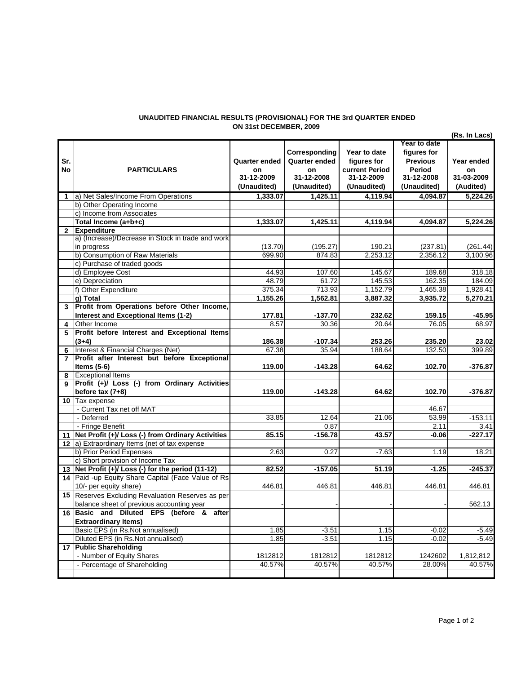## **UNAUDITED FINANCIAL RESULTS (PROVISIONAL) FOR THE 3rd QUARTER ENDED ON 31st DECEMBER, 2009**

|                |                                                      |                                                  |                                                                   |                                                                            |                                                                                       | (Rs. In Lacs)                               |
|----------------|------------------------------------------------------|--------------------------------------------------|-------------------------------------------------------------------|----------------------------------------------------------------------------|---------------------------------------------------------------------------------------|---------------------------------------------|
| Sr.<br>No      | <b>PARTICULARS</b>                                   | Quarter ended<br>on<br>31-12-2009<br>(Unaudited) | Corresponding<br>Quarter ended<br>on<br>31-12-2008<br>(Unaudited) | Year to date<br>figures for<br>current Period<br>31-12-2009<br>(Unaudited) | Year to date<br>figures for<br><b>Previous</b><br>Period<br>31-12-2008<br>(Unaudited) | Year ended<br>on<br>31-03-2009<br>(Audited) |
| 1              | a) Net Sales/Income From Operations                  | 1,333.07                                         | 1,425.11                                                          | 4,119.94                                                                   | 4,094.87                                                                              | 5,224.26                                    |
|                | b) Other Operating Income                            |                                                  |                                                                   |                                                                            |                                                                                       |                                             |
|                | c) Income from Associates                            |                                                  |                                                                   |                                                                            |                                                                                       |                                             |
|                | Total Income (a+b+c)                                 | 1,333.07                                         | 1,425.11                                                          | 4,119.94                                                                   | 4,094.87                                                                              | 5,224.26                                    |
| $\mathbf{2}$   | <b>Expenditure</b>                                   |                                                  |                                                                   |                                                                            |                                                                                       |                                             |
|                | a) (Increase)/Decrease in Stock in trade and work    |                                                  |                                                                   |                                                                            |                                                                                       |                                             |
|                | in progress                                          | (13.70)                                          | (195.27)                                                          | 190.21                                                                     | (237.81)                                                                              | (261.44)                                    |
|                | b) Consumption of Raw Materials                      | 699.90                                           | 874.83                                                            | 2.253.12                                                                   | 2.356.12                                                                              | 3,100.96                                    |
|                | c) Purchase of traded goods                          |                                                  |                                                                   |                                                                            |                                                                                       |                                             |
|                | d) Employee Cost                                     | 44.93                                            | 107.60                                                            | 145.67                                                                     | 189.68                                                                                | 318.18                                      |
|                | e) Depreciation                                      | 48.79                                            | 61.72                                                             | 145.53                                                                     | 162.35                                                                                | 184.09                                      |
|                | f) Other Expenditure                                 | 375.34                                           | 713.93                                                            | 1,152.79                                                                   | 1,465.38                                                                              | 1,928.41                                    |
|                | q) Total                                             | 1,155.26                                         | 1,562.81                                                          | 3,887.32                                                                   | 3,935.72                                                                              | 5,270.21                                    |
| 3              | Profit from Operations before Other Income,          |                                                  |                                                                   |                                                                            |                                                                                       |                                             |
|                | Interest and Exceptional Items (1-2)                 | 177.81                                           | $-137.70$                                                         | 232.62                                                                     | 159.15                                                                                | -45.95                                      |
| 4              | Other Income                                         | 8.57                                             | 30.36                                                             | 20.64                                                                      | 76.05                                                                                 | 68.97                                       |
| 5              | Profit before Interest and Exceptional Items         |                                                  |                                                                   |                                                                            |                                                                                       |                                             |
|                | $(3+4)$                                              | 186.38                                           | -107.34                                                           | 253.26                                                                     | 235.20                                                                                | 23.02                                       |
| 6              | Interest & Financial Charges (Net)                   | 67.38                                            | 35.94                                                             | 188.64                                                                     | 132.50                                                                                | 399.89                                      |
| $\overline{7}$ | Profit after Interest but before Exceptional         |                                                  |                                                                   |                                                                            |                                                                                       |                                             |
|                | Items $(5-6)$                                        | 119.00                                           | $-143.28$                                                         | 64.62                                                                      | 102.70                                                                                | $-376.87$                                   |
| 8              | <b>Exceptional Items</b>                             |                                                  |                                                                   |                                                                            |                                                                                       |                                             |
|                | Profit (+)/ Loss (-) from Ordinary Activities        |                                                  |                                                                   |                                                                            |                                                                                       |                                             |
|                | before $tax(7+8)$                                    | 119.00                                           | $-143.28$                                                         | 64.62                                                                      | 102.70                                                                                | $-376.87$                                   |
| 10             | Tax expense                                          |                                                  |                                                                   |                                                                            |                                                                                       |                                             |
|                | - Current Tax net off MAT                            |                                                  |                                                                   |                                                                            | 46.67                                                                                 |                                             |
|                | - Deferred                                           | 33.85                                            | 12.64                                                             | 21.06                                                                      | 53.99                                                                                 | $-153.11$                                   |
|                | - Fringe Benefit                                     |                                                  | 0.87                                                              |                                                                            | 2.11                                                                                  | 3.41                                        |
|                | 11 Net Profit (+)/ Loss (-) from Ordinary Activities | 85.15                                            | $-156.78$                                                         | 43.57                                                                      | -0.06                                                                                 | $-227.17$                                   |
|                | 12 (a) Extraordinary Items (net of tax expense       |                                                  |                                                                   |                                                                            |                                                                                       |                                             |
|                | b) Prior Period Expenses                             | 2.63                                             | 0.27                                                              | $-7.63$                                                                    | 1.19                                                                                  | 18.21                                       |
|                | c) Short provision of Income Tax                     |                                                  |                                                                   |                                                                            |                                                                                       |                                             |
|                | 13 Net Profit (+)/ Loss (-) for the period (11-12)   | 82.52                                            | $-157.05$                                                         | 51.19                                                                      | $-1.25$                                                                               | $-245.37$                                   |
|                | 14 Paid -up Equity Share Capital (Face Value of Rs   |                                                  |                                                                   |                                                                            |                                                                                       |                                             |
|                | 10/- per equity share)                               | 446.81                                           | 446.81                                                            | 446.81                                                                     | 446.81                                                                                | 446.81                                      |
|                | 15 Reserves Excluding Revaluation Reserves as per    |                                                  |                                                                   |                                                                            |                                                                                       |                                             |
|                | balance sheet of previous accounting year            |                                                  |                                                                   |                                                                            |                                                                                       | 562.13                                      |
|                | 16 Basic and Diluted EPS (before & after             |                                                  |                                                                   |                                                                            |                                                                                       |                                             |
|                | <b>Extraordinary Items)</b>                          |                                                  |                                                                   |                                                                            |                                                                                       |                                             |
|                | Basic EPS (in Rs.Not annualised)                     | 1.85                                             | $-3.51$                                                           | 1.15                                                                       | $-0.02$                                                                               | $-5.49$                                     |
|                | Diluted EPS (in Rs.Not annualised)                   | 1.85                                             | $-3.51$                                                           | 1.15                                                                       | $-0.02$                                                                               | $-5.49$                                     |
|                | 17 Public Shareholding                               |                                                  |                                                                   |                                                                            |                                                                                       |                                             |
|                | - Number of Equity Shares                            | 1812812                                          | 1812812                                                           | 1812812                                                                    | 1242602                                                                               | 1,812,812                                   |
|                | - Percentage of Shareholding                         | 40.57%                                           | 40.57%                                                            | 40.57%                                                                     | 28.00%                                                                                | 40.57%                                      |
|                |                                                      |                                                  |                                                                   |                                                                            |                                                                                       |                                             |